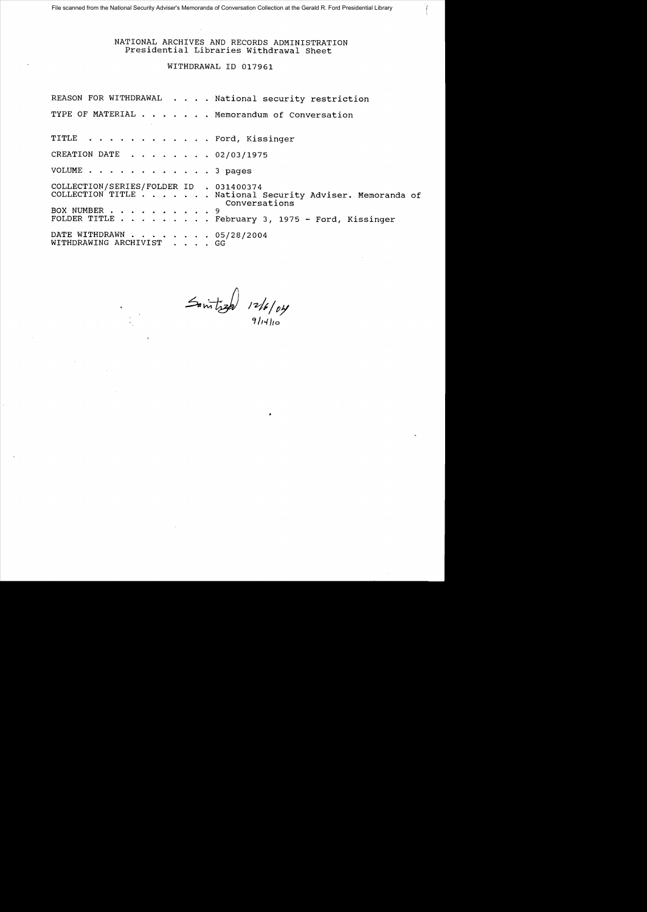## NATIONAL ARCHIVES AND RECORDS ADMINISTRATION Presidential Libraries Withdrawal Sheet

WITHDRAWAL 10 017961

|                                                       | REASON FOR WITHDRAWAL National security restriction                       |
|-------------------------------------------------------|---------------------------------------------------------------------------|
|                                                       | TYPE OF MATERIAL Memorandum of Conversation                               |
| TITLE Ford, Kissinger                                 |                                                                           |
| CREATION DATE 02/03/1975                              |                                                                           |
| VOLUME 3 pages                                        |                                                                           |
| COLLECTION/SERIES/FOLDER ID . 031400374               | COLLECTION TITLE National Security Adviser. Memoranda of<br>Conversations |
| BOX NUMBER 9                                          | FOLDER TITLE February 3, 1975 - Ford, Kissinger                           |
| DATE WITHDRAWN 05/28/2004<br>WITHDRAWING ARCHIVIST GG |                                                                           |

 $\frac{1}{\sqrt{2}}$  12/6/04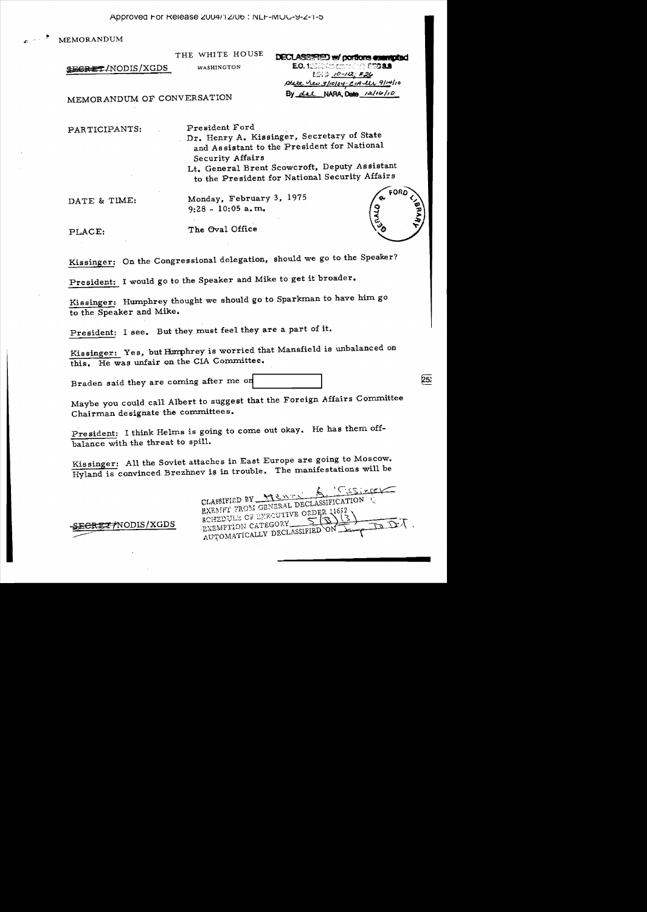MEMORANDUM

THE WHITE HOUSE WASHINGTON

SEGRET/NODIS/XGDS

**DECLASSIFIED w/ portions assumpted** EO. 12333 (approximately 8730 8.9) **MRD 10-112: F26** ptate her 3/10/04. CIA les 9/14/10 By dal NARA Date 12/16/10

MEMORANDUM OF CONVERSATION

PARTICIPANTS:

President Ford

Dr. Henry A. Kissinger, Secretary of State and Assistant to the President for National Security Affairs

Lt. General Brent Scowcroft, Deputy Assistant to the President for National Security Affairs

DATE & TIME:

Monday, February 3, 1975  $9:28 - 10:05$  a.m.

PLACE:

The Oval Office

Kissinger: On the Congressional delegation, should we go to the Speaker?

President: I would go to the Speaker and Mike to get it broader.

Kissinger: Humphrey thought we should go to Sparkman to have him go to the Speaker and Mike.

President: I see. But they must feel they are a part of it.

Kissinger: Yes, but Humphrey is worried that Mansfield is unbalanced on this. He was unfair on the CIA Committee.

Braden said they are coming after me on

Maybe you could call Albert to suggest that the Foreign Affairs Committee Chairman designate the committees.

President: I think Helms is going to come out okay. He has them offbalance with the threat to spill.

Kissinger: All the Soviet attaches in East Europe are going to Moscow. Hyland is convinced Brezhnev is in trouble. The manifestations will be

Casine CLASSIFIED BY HENRY B EXEMPT FROM GENERAL DECLASSIFICATION SCHEDULE OF EXECUTIVE ORDER 11652 EXEMPTION CATEGORY AUTOMATICALLY DECLASSIFIED

**EGREZ / NODIS / XGDS** 

FORD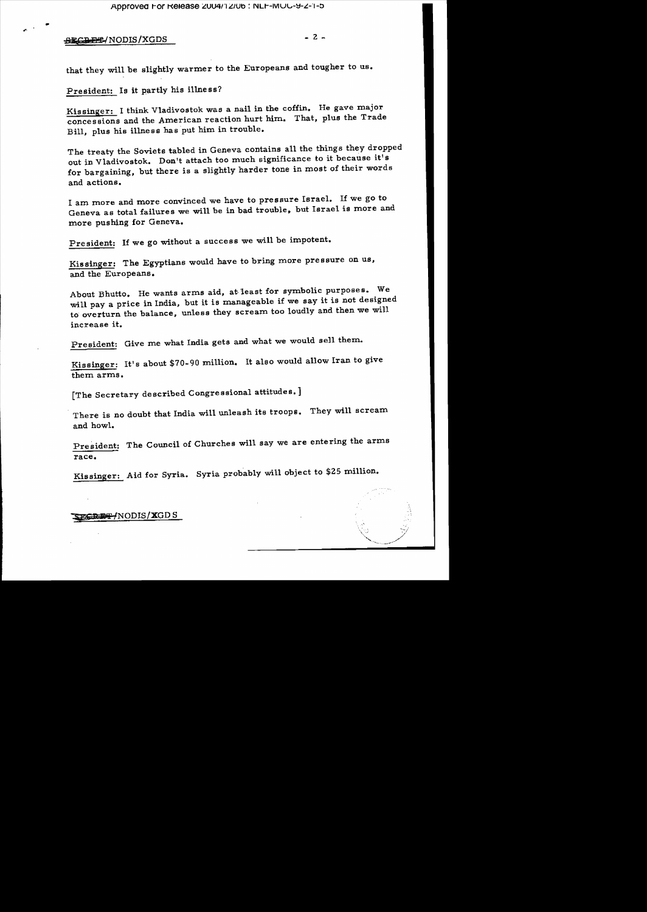**SECREE/NODIS/XGDS** 

 $-2-$ 

that they will be slightly warmer to the Europeans and tougher to us.

President: Is it partly his illness?

Kissinger: I think Vladivostok was a nail in the coffin. He gave major concessions and the American reaction hurt him. That, plus the Trade Bill, plus his illness has put him in trouble.

The treaty the Soviets tabled in Geneva contains all the things they dropped out in Vladivostok. Don't attach too much significance to it because it's for bargaining, but there is a slightly harder tone in most of their words and actions.

I am more and more convinced we have to pressure Israel. If we go to Geneva as total failures we will be in bad trouble, but Israel is more and more pushing for Geneva.

President: If we go without a success we will be impotent.

Kissinger: The Egyptians would have to bring more pressure on us, and the Europeans.

About Bhutto. He wants arms aid, at least for symbolic purposes. We will pay a price in India, but it is manageable if we say it is not designed to overturn the balance, unless they scream too loudly and then we will increase it.

President: Give me what India gets and what we would sell them.

Kissinger: It's about \$70-90 million. It also would allow Iran to give them arms.

[The Secretary described Congressional attitudes.]

There is no doubt that India will unleash its troops. They will scream and howl.

President: The Council of Churches will say we are entering the arms race.

Kissinger: Aid for Syria. Syria probably will object to \$25 million.

FGRET/NODIS/XGDS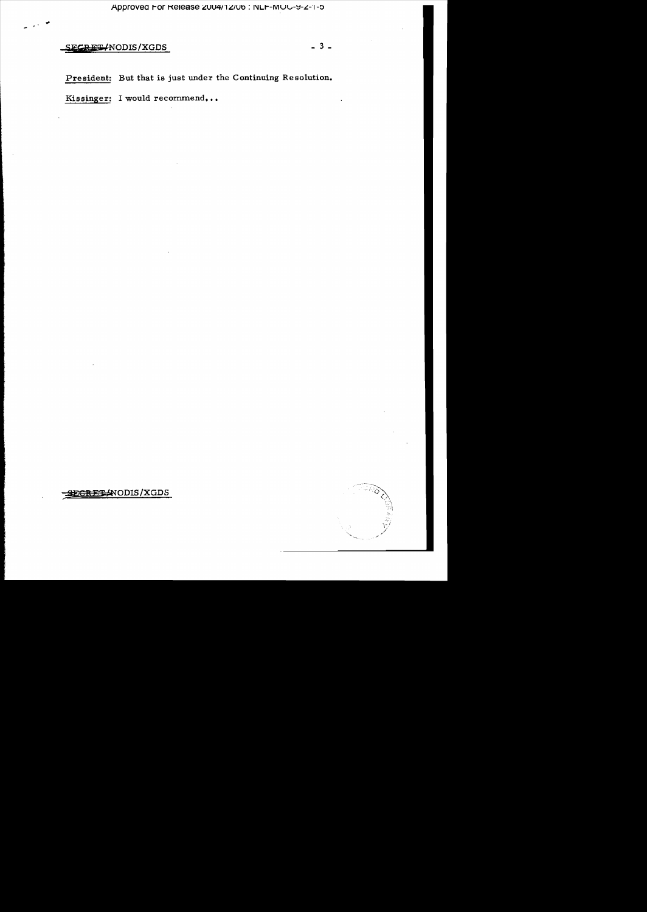Approved For Release 2004/12/06 : NLF-MOC-9-2-1-5

## SECRET/NODIS/XGDS

President: But that is just under the Continuing Resolution.

Kissinger: I would recommend...

-SECRETANODIS/XGDS